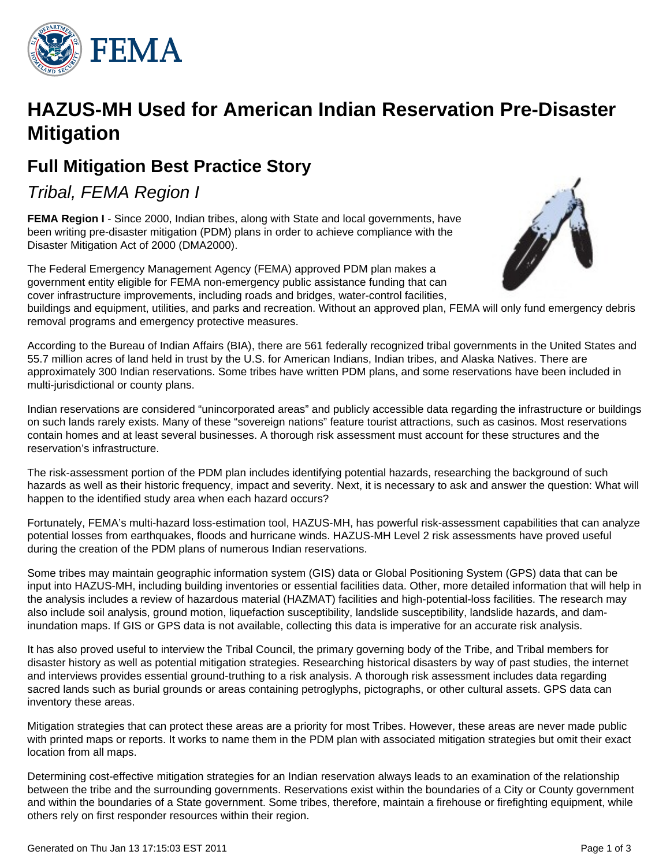

# **HAZUS-MH Used for American Indian Reservation Pre-Disaster Mitigation**

# **Full Mitigation Best Practice Story**

Tribal, FEMA Region I

**FEMA Region I** - Since 2000, Indian tribes, along with State and local governments, have been writing pre-disaster mitigation (PDM) plans in order to achieve compliance with the Disaster Mitigation Act of 2000 (DMA2000).

The Federal Emergency Management Agency (FEMA) approved PDM plan makes a government entity eligible for FEMA non-emergency public assistance funding that can cover infrastructure improvements, including roads and bridges, water-control facilities,



buildings and equipment, utilities, and parks and recreation. Without an approved plan, FEMA will only fund emergency debris removal programs and emergency protective measures.

According to the Bureau of Indian Affairs (BIA), there are 561 federally recognized tribal governments in the United States and 55.7 million acres of land held in trust by the U.S. for American Indians, Indian tribes, and Alaska Natives. There are approximately 300 Indian reservations. Some tribes have written PDM plans, and some reservations have been included in multi-jurisdictional or county plans.

Indian reservations are considered "unincorporated areas" and publicly accessible data regarding the infrastructure or buildings on such lands rarely exists. Many of these "sovereign nations" feature tourist attractions, such as casinos. Most reservations contain homes and at least several businesses. A thorough risk assessment must account for these structures and the reservation's infrastructure.

The risk-assessment portion of the PDM plan includes identifying potential hazards, researching the background of such hazards as well as their historic frequency, impact and severity. Next, it is necessary to ask and answer the question: What will happen to the identified study area when each hazard occurs?

Fortunately, FEMA's multi-hazard loss-estimation tool, HAZUS-MH, has powerful risk-assessment capabilities that can analyze potential losses from earthquakes, floods and hurricane winds. HAZUS-MH Level 2 risk assessments have proved useful during the creation of the PDM plans of numerous Indian reservations.

Some tribes may maintain geographic information system (GIS) data or Global Positioning System (GPS) data that can be input into HAZUS-MH, including building inventories or essential facilities data. Other, more detailed information that will help in the analysis includes a review of hazardous material (HAZMAT) facilities and high-potential-loss facilities. The research may also include soil analysis, ground motion, liquefaction susceptibility, landslide susceptibility, landslide hazards, and daminundation maps. If GIS or GPS data is not available, collecting this data is imperative for an accurate risk analysis.

It has also proved useful to interview the Tribal Council, the primary governing body of the Tribe, and Tribal members for disaster history as well as potential mitigation strategies. Researching historical disasters by way of past studies, the internet and interviews provides essential ground-truthing to a risk analysis. A thorough risk assessment includes data regarding sacred lands such as burial grounds or areas containing petroglyphs, pictographs, or other cultural assets. GPS data can inventory these areas.

Mitigation strategies that can protect these areas are a priority for most Tribes. However, these areas are never made public with printed maps or reports. It works to name them in the PDM plan with associated mitigation strategies but omit their exact location from all maps.

Determining cost-effective mitigation strategies for an Indian reservation always leads to an examination of the relationship between the tribe and the surrounding governments. Reservations exist within the boundaries of a City or County government and within the boundaries of a State government. Some tribes, therefore, maintain a firehouse or firefighting equipment, while others rely on first responder resources within their region.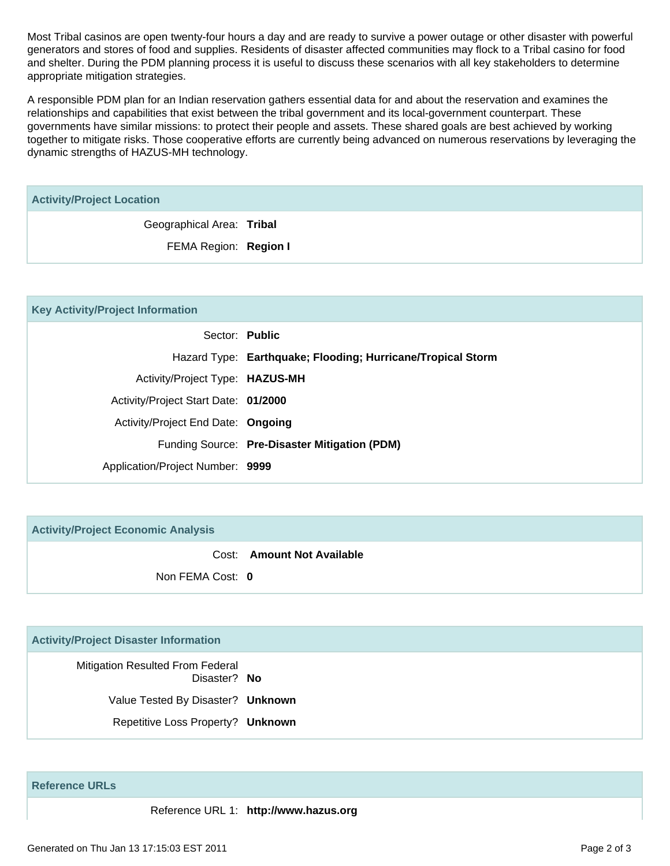Most Tribal casinos are open twenty-four hours a day and are ready to survive a power outage or other disaster with powerful generators and stores of food and supplies. Residents of disaster affected communities may flock to a Tribal casino for food and shelter. During the PDM planning process it is useful to discuss these scenarios with all key stakeholders to determine appropriate mitigation strategies.

A responsible PDM plan for an Indian reservation gathers essential data for and about the reservation and examines the relationships and capabilities that exist between the tribal government and its local-government counterpart. These governments have similar missions: to protect their people and assets. These shared goals are best achieved by working together to mitigate risks. Those cooperative efforts are currently being advanced on numerous reservations by leveraging the dynamic strengths of HAZUS-MH technology.

| <b>Activity/Project Location</b> |  |
|----------------------------------|--|
| Geographical Area: Tribal        |  |
| FEMA Region: Region I            |  |
|                                  |  |

| <b>Key Activity/Project Information</b> |  |
|-----------------------------------------|--|
|-----------------------------------------|--|

|                                      | Sector: Public                                              |
|--------------------------------------|-------------------------------------------------------------|
|                                      | Hazard Type: Earthquake; Flooding; Hurricane/Tropical Storm |
| Activity/Project Type: HAZUS-MH      |                                                             |
| Activity/Project Start Date: 01/2000 |                                                             |
| Activity/Project End Date: Ongoing   |                                                             |
|                                      | Funding Source: Pre-Disaster Mitigation (PDM)               |
| Application/Project Number: 9999     |                                                             |
|                                      |                                                             |

**Activity/Project Economic Analysis**

Cost: **Amount Not Available**

Non FEMA Cost: **0**

## **Activity/Project Disaster Information**

Mitigation Resulted From Federal Disaster? **No** Value Tested By Disaster? **Unknown** Repetitive Loss Property? **Unknown**

**Reference URLs**

Reference URL 1: **http://www.hazus.org**